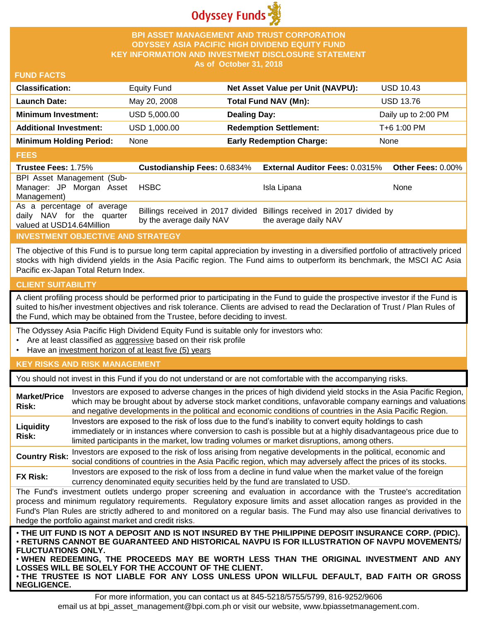

### **BPI ASSET MANAGEMENT AND TRUST CORPORATION ODYSSEY ASIA PACIFIC HIGH DIVIDEND EQUITY FUND KEY INFORMATION AND INVESTMENT DISCLOSURE STATEMENT As of October 31, 2018**

#### **FUND FACTS**

| <b>Classification:</b>         | <b>Equity Fund</b> | Net Asset Value per Unit (NAVPU): | <b>USD 10.43</b>    |
|--------------------------------|--------------------|-----------------------------------|---------------------|
| <b>Launch Date:</b>            | May 20, 2008       | Total Fund NAV (Mn):              | <b>USD 13.76</b>    |
| <b>Minimum Investment:</b>     | USD 5,000.00       | <b>Dealing Day:</b>               | Daily up to 2:00 PM |
| <b>Additional Investment:</b>  | USD 1,000.00       | <b>Redemption Settlement:</b>     | T+6 1:00 PM         |
| <b>Minimum Holding Period:</b> | None               | <b>Early Redemption Charge:</b>   | None                |

#### **FEES**

| -----                                                   |                                    |                                                                        |                   |
|---------------------------------------------------------|------------------------------------|------------------------------------------------------------------------|-------------------|
| Trustee Fees: 1.75%                                     | <b>Custodianship Fees: 0.6834%</b> | <b>External Auditor Fees: 0.0315%</b>                                  | Other Fees: 0.00% |
| BPI Asset Management (Sub-                              |                                    |                                                                        |                   |
| Manager: JP Morgan Asset                                | HSBC                               | Isla Lipana                                                            | <b>None</b>       |
| Management)                                             |                                    |                                                                        |                   |
| As a percentage of average<br>daily NAV for the quarter |                                    | Billings received in 2017 divided Billings received in 2017 divided by |                   |
| valued at USD14.64Million                               | by the average daily NAV           | the average daily NAV                                                  |                   |

# **INVESTMENT OBJECTIVE AND STRATEGY**

The objective of this Fund is to pursue long term capital appreciation by investing in a diversified portfolio of attractively priced stocks with high dividend yields in the Asia Pacific region. The Fund aims to outperform its benchmark, the MSCI AC Asia Pacific ex-Japan Total Return Index.

# **CLIENT SUITABILITY**

**NEGLIGENCE.**

A client profiling process should be performed prior to participating in the Fund to guide the prospective investor if the Fund is suited to his/her investment objectives and risk tolerance. Clients are advised to read the Declaration of Trust / Plan Rules of the Fund, which may be obtained from the Trustee, before deciding to invest.

The Odyssey Asia Pacific High Dividend Equity Fund is suitable only for investors who:

- Are at least classified as aggressive based on their risk profile
- Have an investment horizon of at least five (5) years

# **KEY RISKS AND RISK MANAGEMENT**

You should not invest in this Fund if you do not understand or are not comfortable with the accompanying risks.

| <b>Market/Price</b><br>Risk:                                                                                                                                                                                                                                                                                                                                                                                                         | Investors are exposed to adverse changes in the prices of high dividend yield stocks in the Asia Pacific Region,<br>which may be brought about by adverse stock market conditions, unfavorable company earnings and valuations<br>and negative developments in the political and economic conditions of countries in the Asia Pacific Region.                                                                                                   |  |  |
|--------------------------------------------------------------------------------------------------------------------------------------------------------------------------------------------------------------------------------------------------------------------------------------------------------------------------------------------------------------------------------------------------------------------------------------|-------------------------------------------------------------------------------------------------------------------------------------------------------------------------------------------------------------------------------------------------------------------------------------------------------------------------------------------------------------------------------------------------------------------------------------------------|--|--|
| Liquidity<br>Risk:                                                                                                                                                                                                                                                                                                                                                                                                                   | Investors are exposed to the risk of loss due to the fund's inability to convert equity holdings to cash<br>immediately or in instances where conversion to cash is possible but at a highly disadvantageous price due to<br>limited participants in the market, low trading volumes or market disruptions, among others.                                                                                                                       |  |  |
| <b>Country Risk:</b>                                                                                                                                                                                                                                                                                                                                                                                                                 | Investors are exposed to the risk of loss arising from negative developments in the political, economic and<br>social conditions of countries in the Asia Pacific region, which may adversely affect the prices of its stocks.                                                                                                                                                                                                                  |  |  |
| <b>FX Risk:</b>                                                                                                                                                                                                                                                                                                                                                                                                                      | Investors are exposed to the risk of loss from a decline in fund value when the market value of the foreign<br>currency denominated equity securities held by the fund are translated to USD.                                                                                                                                                                                                                                                   |  |  |
| The Fund's investment outlets undergo proper screening and evaluation in accordance with the Trustee's accreditation<br>process and minimum regulatory requirements. Regulatory exposure limits and asset allocation ranges as provided in the<br>Fund's Plan Rules are strictly adhered to and monitored on a regular basis. The Fund may also use financial derivatives to<br>hedge the portfolio against market and credit risks. |                                                                                                                                                                                                                                                                                                                                                                                                                                                 |  |  |
| <b>FLUCTUATIONS ONLY.</b>                                                                                                                                                                                                                                                                                                                                                                                                            | . THE UIT FUND IS NOT A DEPOSIT AND IS NOT INSURED BY THE PHILIPPINE DEPOSIT INSURANCE CORP. (PDIC).<br>⋅RETURNS CANNOT BE GUARANTEED AND HISTORICAL NAVPU IS FOR ILLUSTRATION OF NAVPU MOVEMENTS/<br>. WHEN REDEEMING, THE PROCEEDS MAY BE WORTH LESS THAN THE ORIGINAL INVESTMENT AND ANY<br>LOSSES WILL BE SOLELY FOR THE ACCOUNT OF THE CLIENT.<br>. THE TRUSTEE IS NOT LIABLE FOR ANY LOSS UNLESS UPON WILLFUL DEFAULT, BAD FAITH OR GROSS |  |  |

For more information, you can contact us at 845-5218/5755/5799, 816-9252/9606 email us at bpi\_asset\_management@bpi.com.ph or visit our website, www.bpiassetmanagement.com.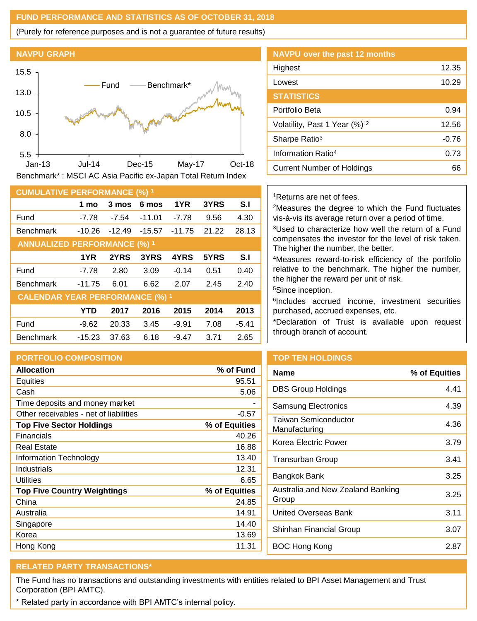### **FUND PERFORMANCE AND STATISTICS AS OF OCTOBER 31, 2018**

(Purely for reference purposes and is not a guarantee of future results)





| <b>CUMULATIVE PERFORMANCE (%) 1</b>    |            |          |          |          |       |                |
|----------------------------------------|------------|----------|----------|----------|-------|----------------|
|                                        | 1 mo       | 3 mos    | 6 mos    | 1YR      | 3YRS  | S <sub>1</sub> |
| Fund                                   | -7.78      | $-7.54$  | $-11.01$ | $-7.78$  | 9.56  | 4.30           |
| <b>Benchmark</b>                       | $-10.26$   | $-12.49$ | $-15.57$ | $-11.75$ | 21.22 | 28.13          |
| <b>ANNUALIZED PERFORMANCE (%) 1</b>    |            |          |          |          |       |                |
|                                        | 1YR        | 2YRS     | 3YRS     | 4YRS     | 5YRS  | S <sub>1</sub> |
| Fund                                   | $-7.78$    | 2.80     | 3.09     | $-0.14$  | 0.51  | 0.40           |
| <b>Benchmark</b>                       | $-11.75$   | 6.01     | 6.62     | 2.07     | 2.45  | 2.40           |
| <b>CALENDAR YEAR PERFORMANCE (%) 1</b> |            |          |          |          |       |                |
|                                        | <b>YTD</b> | 2017     | 2016     | 2015     | 2014  | 2013           |
| Fund                                   | $-9.62$    | 20.33    | 3.45     | $-9.91$  | 7.08  | $-5.41$        |
| <b>Benchmark</b>                       | $-15.23$   | 37.63    | 6.18     | $-9.47$  | 3.71  | 2.65           |

#### **PORTFOLIO COMPOSITION**

| <b>Allocation</b>                      | % of Fund     |
|----------------------------------------|---------------|
| <b>Equities</b>                        | 95.51         |
| Cash                                   | 5.06          |
| Time deposits and money market         |               |
| Other receivables - net of liabilities | $-0.57$       |
| <b>Top Five Sector Holdings</b>        | % of Equities |
| <b>Financials</b>                      | 40.26         |
| <b>Real Estate</b>                     | 16.88         |
| Information Technology                 | 13.40         |
| Industrials                            | 12.31         |
| Utilities                              | 6.65          |
| <b>Top Five Country Weightings</b>     | % of Equities |
| China                                  | 24.85         |
| Australia                              | 14.91         |
| Singapore                              | 14.40         |
| Korea                                  | 13.69         |
| Hong Kong                              | 11.31         |

| <b>NAVPU over the past 12 months</b>     |         |
|------------------------------------------|---------|
| Highest                                  | 12.35   |
| Lowest                                   | 10.29   |
| <b>STATISTICS</b>                        |         |
| Portfolio Beta                           | 0.94    |
| Volatility, Past 1 Year (%) <sup>2</sup> | 12.56   |
| Sharpe Ratio <sup>3</sup>                | $-0.76$ |
| Information Ratio <sup>4</sup>           | 0.73    |
| <b>Current Number of Holdings</b>        | 66      |

#### <sup>1</sup>Returns are net of fees.

<sup>2</sup>Measures the degree to which the Fund fluctuates vis-à-vis its average return over a period of time.

<sup>3</sup>Used to characterize how well the return of a Fund compensates the investor for the level of risk taken. The higher the number, the better.

<sup>4</sup>Measures reward-to-risk efficiency of the portfolio relative to the benchmark. The higher the number, the higher the reward per unit of risk.

<sup>5</sup>Since inception.

6 Includes accrued income, investment securities purchased, accrued expenses, etc.

\*Declaration of Trust is available upon request through branch of account.

### **TOP TEN HOLDINGS**

| <b>Name</b>                                | % of Equities |
|--------------------------------------------|---------------|
| <b>DBS Group Holdings</b>                  | 4.41          |
| <b>Samsung Electronics</b>                 | 4.39          |
| Taiwan Semiconductor<br>Manufacturing      | 4.36          |
| Korea Electric Power                       | 3.79          |
| Transurban Group                           | 3.41          |
| Bangkok Bank                               | 3.25          |
| Australia and New Zealand Banking<br>Group | 3.25          |
| United Overseas Bank                       | 3.11          |
| Shinhan Financial Group                    | 3.07          |
| <b>BOC Hong Kong</b>                       | 2.87          |

# **RELATED PARTY TRANSACTIONS\***

The Fund has no transactions and outstanding investments with entities related to BPI Asset Management and Trust Corporation (BPI AMTC).

\* Related party in accordance with BPI AMTC's internal policy.